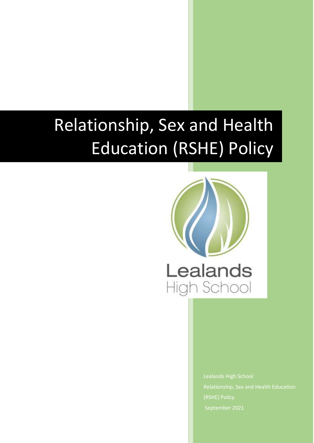# Relationship, Sex and Health Education (RSHE) Policy



Lealands High School (RSHE) Policy September 2021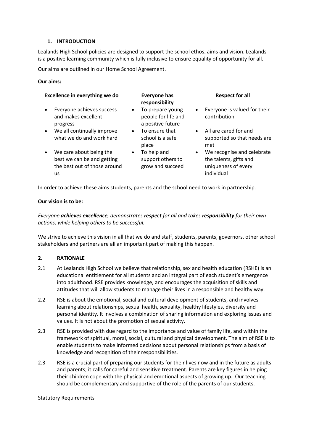### **1. INTRODUCTION**

Lealands High School policies are designed to support the school ethos, aims and vision. Lealands is a positive learning community which is fully inclusive to ensure equality of opportunity for all.

Our aims are outlined in our Home School Agreement.

## **Our aims:**

| Excellence in everything we do                                                                           | <b>Everyone has</b><br>responsibility                                     | <b>Respect for all</b>                                                                                 |
|----------------------------------------------------------------------------------------------------------|---------------------------------------------------------------------------|--------------------------------------------------------------------------------------------------------|
| Everyone achieves success<br>and makes excellent<br>progress                                             | To prepare young<br>$\bullet$<br>people for life and<br>a positive future | Everyone is valued for their<br>$\bullet$<br>contribution                                              |
| We all continually improve<br>$\bullet$<br>what we do and work hard                                      | To ensure that<br>$\bullet$<br>school is a safe<br>place                  | • All are cared for and<br>supported so that needs are<br>met                                          |
| We care about being the<br>$\bullet$<br>best we can be and getting<br>the best out of those around<br>us | To help and<br>$\bullet$<br>support others to<br>grow and succeed         | We recognise and celebrate<br>$\bullet$<br>the talents, gifts and<br>uniqueness of every<br>individual |

In order to achieve these aims students, parents and the school need to work in partnership.

#### **Our vision is to be:**

*Everyone achieves excellence, demonstrates respect for all and takes responsibility for their own actions, while helping others to be successful.*

We strive to achieve this vision in all that we do and staff, students, parents, governors, other school stakeholders and partners are all an important part of making this happen.

#### **2. RATIONALE**

- 2.1 At Lealands High School we believe that relationship, sex and health education (RSHE) is an educational entitlement for all students and an integral part of each student's emergence into adulthood. RSE provides knowledge, and encourages the acquisition of skills and attitudes that will allow students to manage their lives in a responsible and healthy way.
- 2.2 RSE is about the emotional, social and cultural development of students, and involves learning about relationships, sexual health, sexuality, healthy lifestyles, diversity and personal identity. It involves a combination of sharing information and exploring issues and values. It is not about the promotion of sexual activity.
- 2.3 RSE is provided with due regard to the importance and value of family life, and within the framework of spiritual, moral, social, cultural and physical development. The aim of RSE is to enable students to make informed decisions about personal relationships from a basis of knowledge and recognition of their responsibilities.
- 2.3 RSE is a crucial part of preparing our students for their lives now and in the future as adults and parents; it calls for careful and sensitive treatment. Parents are key figures in helping their children cope with the physical and emotional aspects of growing up. Our teaching should be complementary and supportive of the role of the parents of our students.

#### Statutory Requirements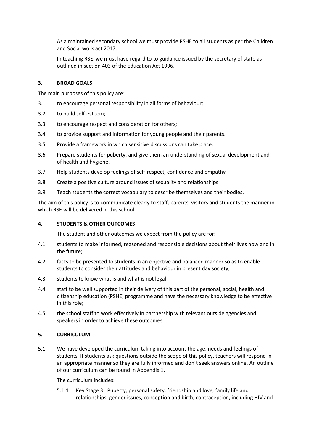As a maintained secondary school we must provide RSHE to all students as per th[e Children](http://www.legislation.gov.uk/ukpga/2017/16/section/34/enacted)  [and Social work act 2017.](http://www.legislation.gov.uk/ukpga/2017/16/section/34/enacted)

In teaching RSE, we must have regard to to [guidance](https://www.gov.uk/government/consultations/relationships-and-sex-education-and-health-education) issued by the secretary of state as outlined in section 403 of th[e Education Act 1996.](http://www.legislation.gov.uk/ukpga/1996/56/contents)

## **3. BROAD GOALS**

The main purposes of this policy are:

- 3.1 to encourage personal responsibility in all forms of behaviour;
- 3.2 to build self-esteem;
- 3.3 to encourage respect and consideration for others;
- 3.4 to provide support and information for young people and their parents.
- 3.5 Provide a framework in which sensitive discussions can take place.
- 3.6 Prepare students for puberty, and give them an understanding of sexual development and of health and hygiene.
- 3.7 Help students develop feelings of self-respect, confidence and empathy
- 3.8 Create a positive culture around issues of sexuality and relationships
- 3.9 Teach students the correct vocabulary to describe themselves and their bodies.

The aim of this policy is to communicate clearly to staff, parents, visitors and students the manner in which RSE will be delivered in this school.

#### **4. STUDENTS & OTHER OUTCOMES**

The student and other outcomes we expect from the policy are for:

- 4.1 students to make informed, reasoned and responsible decisions about their lives now and in the future;
- 4.2 facts to be presented to students in an objective and balanced manner so as to enable students to consider their attitudes and behaviour in present day society;
- 4.3 students to know what is and what is not legal;
- 4.4 staff to be well supported in their delivery of this part of the personal, social, health and citizenship education (PSHE) programme and have the necessary knowledge to be effective in this role;
- 4.5 the school staff to work effectively in partnership with relevant outside agencies and speakers in order to achieve these outcomes.

## **5. CURRICULUM**

5.1 We have developed the curriculum taking into account the age, needs and feelings of students. If students ask questions outside the scope of this policy, teachers will respond in an appropriate manner so they are fully informed and don't seek answers online. An outline of our curriculum can be found in Appendix 1.

The curriculum includes:

5.1.1 Key Stage 3: Puberty, personal safety, friendship and love, family life and relationships, gender issues, conception and birth, contraception, including HIV and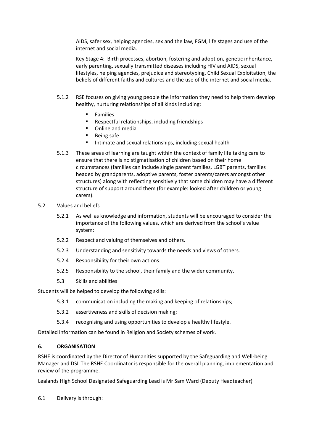AIDS, safer sex, helping agencies, sex and the law, FGM, life stages and use of the internet and social media.

Key Stage 4: Birth processes, abortion, fostering and adoption, genetic inheritance, early parenting, sexually transmitted diseases including HIV and AIDS, sexual lifestyles, helping agencies, prejudice and stereotyping, Child Sexual Exploitation, the beliefs of different faiths and cultures and the use of the internet and social media.

- 5.1.2 RSE focuses on giving young people the information they need to help them develop healthy, nurturing relationships of all kinds including:
	- **Families**
	- **Respectful relationships, including friendships**
	- **•** Online and media
	- Being safe
	- **Intimate and sexual relationships, including sexual health**
- 5.1.3 These areas of learning are taught within the context of family life taking care to ensure that there is no stigmatisation of children based on their home circumstances (families can include single parent families, LGBT parents, families headed by grandparents, adoptive parents, foster parents/carers amongst other structures) along with reflecting sensitively that some children may have a different structure of support around them (for example: looked after children or young carers).
- 5.2 Values and beliefs
	- 5.2.1 As well as knowledge and information, students will be encouraged to consider the importance of the following values, which are derived from the school's value system:
	- 5.2.2 Respect and valuing of themselves and others.
	- 5.2.3 Understanding and sensitivity towards the needs and views of others.
	- 5.2.4 Responsibility for their own actions.
	- 5.2.5 Responsibility to the school, their family and the wider community.
	- 5.3 Skills and abilities

Students will be helped to develop the following skills:

- 5.3.1 communication including the making and keeping of relationships;
- 5.3.2 assertiveness and skills of decision making;
- 5.3.4 recognising and using opportunities to develop a healthy lifestyle.

Detailed information can be found in Religion and Society schemes of work.

#### **6. ORGANISATION**

RSHE is coordinated by the Director of Humanities supported by the Safeguarding and Well-being Manager and DSL The RSHE Coordinator is responsible for the overall planning, implementation and review of the programme.

Lealands High School Designated Safeguarding Lead is Mr Sam Ward (Deputy Headteacher)

6.1 Delivery is through: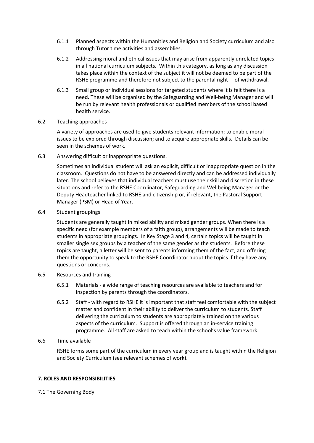- 6.1.1 Planned aspects within the Humanities and Religion and Society curriculum and also through Tutor time activities and assemblies.
- 6.1.2 Addressing moral and ethical issues that may arise from apparently unrelated topics in all national curriculum subjects. Within this category, as long as any discussion takes place within the context of the subject it will not be deemed to be part of the RSHE programme and therefore not subject to the parental right of withdrawal.
- 6.1.3 Small group or individual sessions for targeted students where it is felt there is a need. These will be organised by the Safeguarding and Well-being Manager and will be run by relevant health professionals or qualified members of the school based health service.
- 6.2 Teaching approaches

A variety of approaches are used to give students relevant information; to enable moral issues to be explored through discussion; and to acquire appropriate skills. Details can be seen in the schemes of work.

6.3 Answering difficult or inappropriate questions.

Sometimes an individual student will ask an explicit, difficult or inappropriate question in the classroom. Questions do not have to be answered directly and can be addressed individually later. The school believes that individual teachers must use their skill and discretion in these situations and refer to the RSHE Coordinator, Safeguarding and Wellbeing Manager or the Deputy Headteacher linked to RSHE and citizenship or, if relevant, the Pastoral Support Manager (PSM) or Head of Year.

6.4 Student groupings

Students are generally taught in mixed ability and mixed gender groups. When there is a specific need (for example members of a faith group), arrangements will be made to teach students in appropriate groupings. In Key Stage 3 and 4, certain topics will be taught in smaller single sex groups by a teacher of the same gender as the students. Before these topics are taught, a letter will be sent to parents informing them of the fact, and offering them the opportunity to speak to the RSHE Coordinator about the topics if they have any questions or concerns.

- 6.5 Resources and training
	- 6.5.1 Materials a wide range of teaching resources are available to teachers and for inspection by parents through the coordinators.
	- 6.5.2 Staff with regard to RSHE it is important that staff feel comfortable with the subject matter and confident in their ability to deliver the curriculum to students. Staff delivering the curriculum to students are appropriately trained on the various aspects of the curriculum. Support is offered through an in-service training programme. All staff are asked to teach within the school's value framework.
- 6.6 Time available

RSHE forms some part of the curriculum in every year group and is taught within the Religion and Society Curriculum (see relevant schemes of work).

#### **7. ROLES AND RESPONSIBILITIES**

7.1 The Governing Body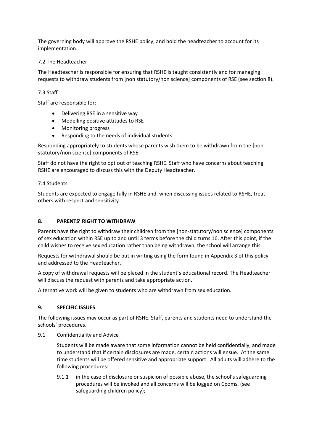The governing body will approve the RSHE policy, and hold the headteacher to account for its implementation.

## 7.2 The Headteacher

The Headteacher is responsible for ensuring that RSHE is taught consistently and for managing requests to withdraw students from [non statutory/non science] components of RSE (see section 8).

## 7.3 Staff

Staff are responsible for:

- Delivering RSE in a sensitive way
- Modelling positive attitudes to RSE
- Monitoring progress
- Responding to the needs of individual students

Responding appropriately to students whose parents wish them to be withdrawn from the [non statutory/non science] components of RSE

Staff do not have the right to opt out of teaching RSHE. Staff who have concerns about teaching RSHE are encouraged to discuss this with the Deputy Headteacher.

#### 7.4 Students

Students are expected to engage fully in RSHE and, when discussing issues related to RSHE, treat others with respect and sensitivity.

## **8. PARENTS' RIGHT TO WITHDRAW**

Parents have the right to withdraw their children from the [non-statutory/non science] components of sex education within RSE up to and until 3 terms before the child turns 16. After this point, if the child wishes to receive sex education rather than being withdrawn, the school will arrange this.

Requests for withdrawal should be put in writing using the form found in Appendix 3 of this policy and addressed to the Headteacher.

A copy of withdrawal requests will be placed in the student's educational record. The Headteacher will discuss the request with parents and take appropriate action.

Alternative work will be given to students who are withdrawn from sex education.

#### **9. SPECIFIC ISSUES**

The following issues may occur as part of RSHE. Staff, parents and students need to understand the schools' procedures.

9.1 Confidentiality and Advice

Students will be made aware that some information cannot be held confidentially, and made to understand that if certain disclosures are made, certain actions will ensue. At the same time students will be offered sensitive and appropriate support. All adults will adhere to the following procedures:

9.1.1 in the case of disclosure or suspicion of possible abuse, the school's safeguarding procedures will be invoked and all concerns will be logged on Cpoms. (see safeguarding children policy);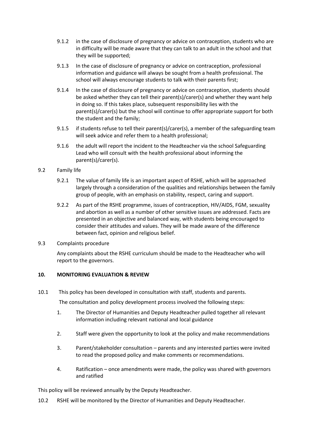- 9.1.2 in the case of disclosure of pregnancy or advice on contraception, students who are in difficulty will be made aware that they can talk to an adult in the school and that they will be supported;
- 9.1.3 In the case of disclosure of pregnancy or advice on contraception, professional information and guidance will always be sought from a health professional. The school will always encourage students to talk with their parents first;
- 9.1.4 In the case of disclosure of pregnancy or advice on contraception, students should be asked whether they can tell their parent(s)/carer(s) and whether they want help in doing so. If this takes place, subsequent responsibility lies with the parent(s)/carer(s) but the school will continue to offer appropriate support for both the student and the family;
- 9.1.5 if students refuse to tell their parent(s)/carer(s), a member of the safeguarding team will seek advice and refer them to a health professional;
- 9.1.6 the adult will report the incident to the Headteacher via the school Safeguarding Lead who will consult with the health professional about informing the parent(s)/carer(s).

## 9.2 Family life

- 9.2.1 The value of family life is an important aspect of RSHE, which will be approached largely through a consideration of the qualities and relationships between the family group of people, with an emphasis on stability, respect, caring and support.
- 9.2.2 As part of the RSHE programme, issues of contraception, HIV/AIDS, FGM, sexuality and abortion as well as a number of other sensitive issues are addressed. Facts are presented in an objective and balanced way, with students being encouraged to consider their attitudes and values. They will be made aware of the difference between fact, opinion and religious belief.
- 9.3 Complaints procedure

Any complaints about the RSHE curriculum should be made to the Headteacher who will report to the governors.

## **10. MONITORING EVALUATION & REVIEW**

10.1 This policy has been developed in consultation with staff, students and parents.

The consultation and policy development process involved the following steps:

- 1. The Director of Humanities and Deputy Headteacher pulled together all relevant information including relevant national and local guidance
- 2. Staff were given the opportunity to look at the policy and make recommendations
- 3. Parent/stakeholder consultation parents and any interested parties were invited to read the proposed policy and make comments or recommendations.
- 4. Ratification once amendments were made, the policy was shared with governors and ratified

This policy will be reviewed annually by the Deputy Headteacher.

10.2 RSHE will be monitored by the Director of Humanities and Deputy Headteacher.